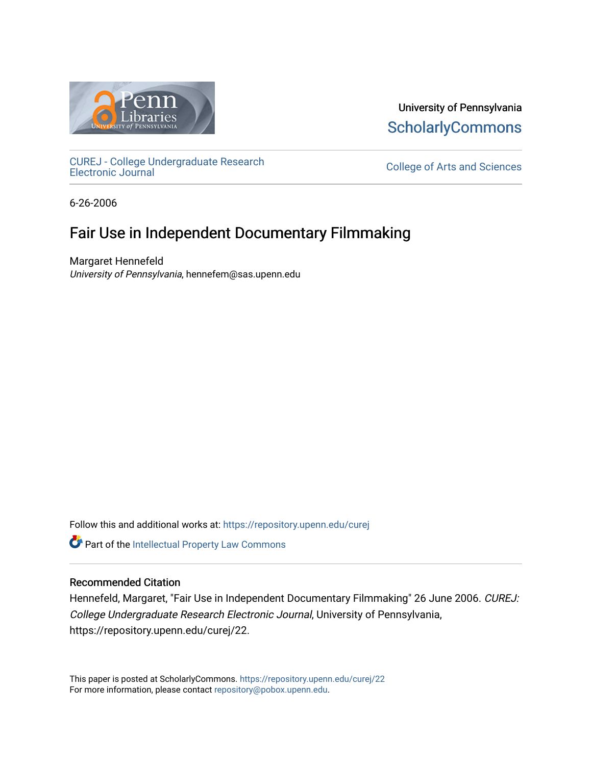

University of Pennsylvania **ScholarlyCommons** 

[CUREJ - College Undergraduate Research](https://repository.upenn.edu/curej) 

College of Arts and Sciences

6-26-2006

# Fair Use in Independent Documentary Filmmaking

Margaret Hennefeld University of Pennsylvania, hennefem@sas.upenn.edu

Follow this and additional works at: [https://repository.upenn.edu/curej](https://repository.upenn.edu/curej?utm_source=repository.upenn.edu%2Fcurej%2F22&utm_medium=PDF&utm_campaign=PDFCoverPages)

Part of the [Intellectual Property Law Commons](http://network.bepress.com/hgg/discipline/896?utm_source=repository.upenn.edu%2Fcurej%2F22&utm_medium=PDF&utm_campaign=PDFCoverPages) 

#### Recommended Citation

Hennefeld, Margaret, "Fair Use in Independent Documentary Filmmaking" 26 June 2006. CUREJ: College Undergraduate Research Electronic Journal, University of Pennsylvania, https://repository.upenn.edu/curej/22.

This paper is posted at ScholarlyCommons.<https://repository.upenn.edu/curej/22> For more information, please contact [repository@pobox.upenn.edu.](mailto:repository@pobox.upenn.edu)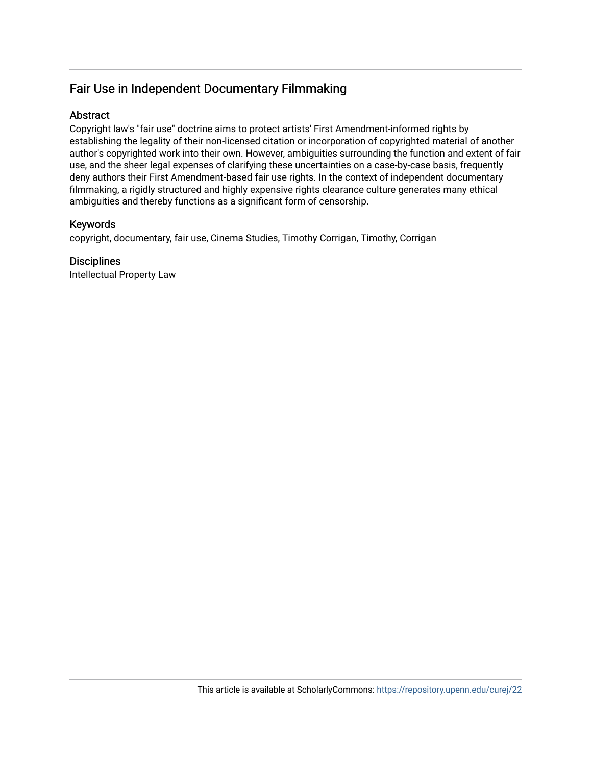### Fair Use in Independent Documentary Filmmaking

#### Abstract

Copyright law's "fair use" doctrine aims to protect artists' First Amendment-informed rights by establishing the legality of their non-licensed citation or incorporation of copyrighted material of another author's copyrighted work into their own. However, ambiguities surrounding the function and extent of fair use, and the sheer legal expenses of clarifying these uncertainties on a case-by-case basis, frequently deny authors their First Amendment-based fair use rights. In the context of independent documentary filmmaking, a rigidly structured and highly expensive rights clearance culture generates many ethical ambiguities and thereby functions as a significant form of censorship.

### Keywords

copyright, documentary, fair use, Cinema Studies, Timothy Corrigan, Timothy, Corrigan

### **Disciplines**

Intellectual Property Law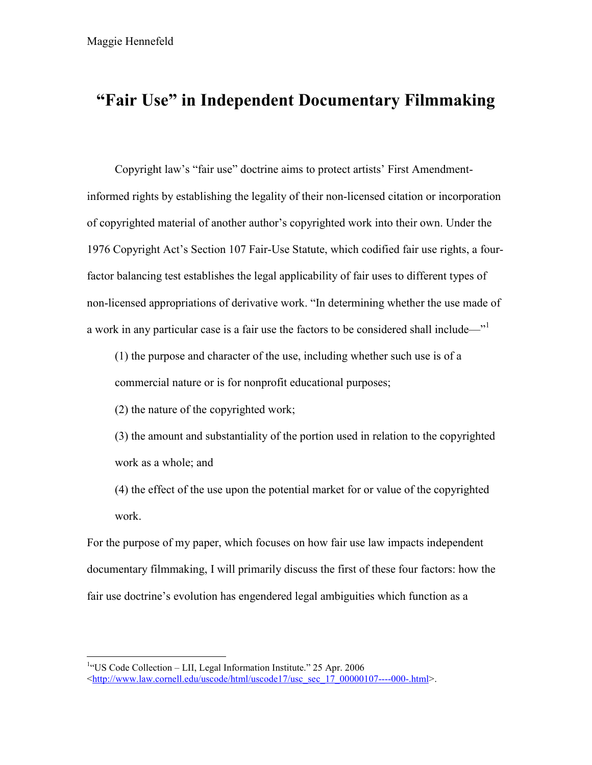# **"Fair Use" in Independent Documentary Filmmaking**

Copyright law's "fair use" doctrine aims to protect artists' First Amendmentinformed rights by establishing the legality of their non-licensed citation or incorporation of copyrighted material of another author's copyrighted work into their own. Under the 1976 Copyright Act's Section 107 Fair-Use Statute, which codified fair use rights, a fourfactor balancing test establishes the legal applicability of fair uses to different types of non-licensed appropriations of derivative work. "In determining whether the use made of a work in any particular case is a fair use the factors to be considered shall include—"<sup>1</sup>

(1) the purpose and character of the use, including whether such use is of a commercial nature or is for nonprofit educational purposes;

(2) the nature of the copyrighted work;

(3) the amount and substantiality of the portion used in relation to the copyrighted work as a whole; and

(4) the effect of the use upon the potential market for or value of the copyrighted work.

For the purpose of my paper, which focuses on how fair use law impacts independent documentary filmmaking, I will primarily discuss the first of these four factors: how the fair use doctrine's evolution has engendered legal ambiguities which function as a

<sup>&</sup>lt;sup>1</sup>"US Code Collection – LII, Legal Information Institute." 25 Apr. 2006  $\leq$ http://www.law.cornell.edu/uscode/html/uscode17/usc\_sec\_17\_00000107----000-.html>.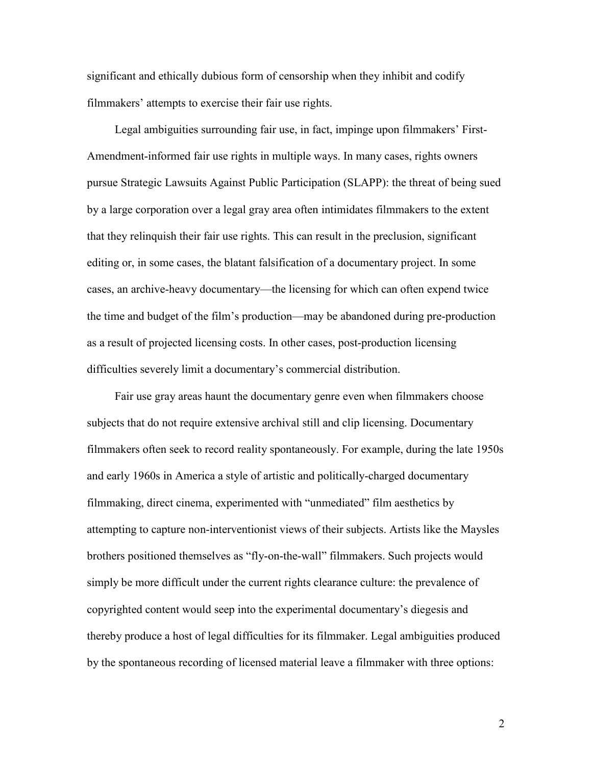significant and ethically dubious form of censorship when they inhibit and codify filmmakers' attempts to exercise their fair use rights.

Legal ambiguities surrounding fair use, in fact, impinge upon filmmakers' First-Amendment-informed fair use rights in multiple ways. In many cases, rights owners pursue Strategic Lawsuits Against Public Participation (SLAPP): the threat of being sued by a large corporation over a legal gray area often intimidates filmmakers to the extent that they relinquish their fair use rights. This can result in the preclusion, significant editing or, in some cases, the blatant falsification of a documentary project. In some cases, an archive-heavy documentary—the licensing for which can often expend twice the time and budget of the film's production—may be abandoned during pre-production as a result of projected licensing costs. In other cases, post-production licensing difficulties severely limit a documentary's commercial distribution.

Fair use gray areas haunt the documentary genre even when filmmakers choose subjects that do not require extensive archival still and clip licensing. Documentary filmmakers often seek to record reality spontaneously. For example, during the late 1950s and early 1960s in America a style of artistic and politically-charged documentary filmmaking, direct cinema, experimented with "unmediated" film aesthetics by attempting to capture non-interventionist views of their subjects. Artists like the Maysles brothers positioned themselves as "fly-on-the-wall" filmmakers. Such projects would simply be more difficult under the current rights clearance culture: the prevalence of copyrighted content would seep into the experimental documentary's diegesis and thereby produce a host of legal difficulties for its filmmaker. Legal ambiguities produced by the spontaneous recording of licensed material leave a filmmaker with three options: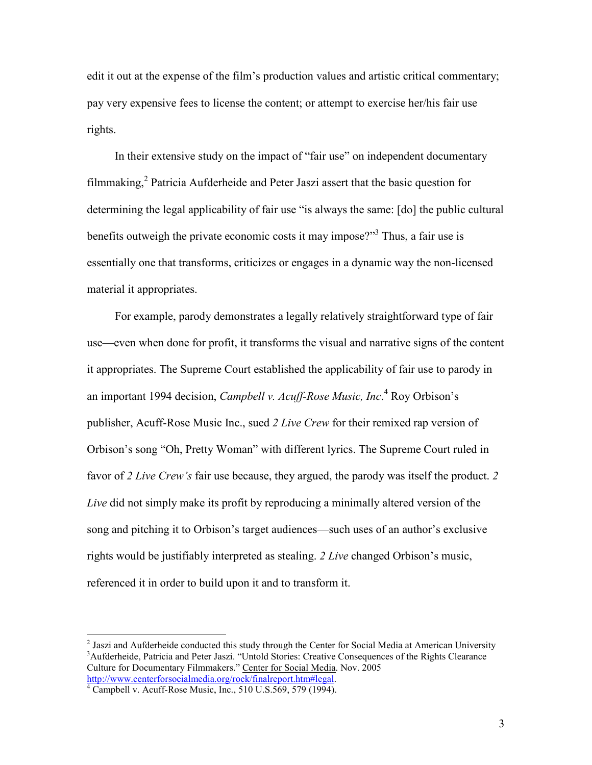edit it out at the expense of the film's production values and artistic critical commentary; pay very expensive fees to license the content; or attempt to exercise her/his fair use rights.

In their extensive study on the impact of "fair use" on independent documentary filmmaking, $^2$  Patricia Aufderheide and Peter Jaszi assert that the basic question for determining the legal applicability of fair use "is always the same: [do] the public cultural benefits outweigh the private economic costs it may impose?"<sup>3</sup> Thus, a fair use is essentially one that transforms, criticizes or engages in a dynamic way the non-licensed material it appropriates.

For example, parody demonstrates a legally relatively straightforward type of fair use—even when done for profit, it transforms the visual and narrative signs of the content it appropriates. The Supreme Court established the applicability of fair use to parody in an important 1994 decision, *Campbell v. Acuff-Rose Music, Inc*. <sup>4</sup> Roy Orbison's publisher, Acuff-Rose Music Inc., sued *2 Live Crew* for their remixed rap version of Orbison's song "Oh, Pretty Woman" with different lyrics. The Supreme Court ruled in favor of *2 Live Crew's* fair use because, they argued, the parody was itself the product. *2 Live* did not simply make its profit by reproducing a minimally altered version of the song and pitching it to Orbison's target audiences—such uses of an author's exclusive rights would be justifiably interpreted as stealing. *2 Live* changed Orbison's music, referenced it in order to build upon it and to transform it.

<sup>&</sup>lt;sup>2</sup> Jaszi and Aufderheide conducted this study through the Center for Social Media at American University <sup>3</sup>Aufderheide, Patricia and Peter Jaszi. "Untold Stories: Creative Consequences of the Rights Clearance Culture for Documentary Filmmakers." Center for Social Media. Nov. 2005<br>http://www.centerforsocialmedia.org/rock/finalreport.htm#legal.

 $4$  Campbell v. Acuff-Rose Music, Inc., 510 U.S.569, 579 (1994).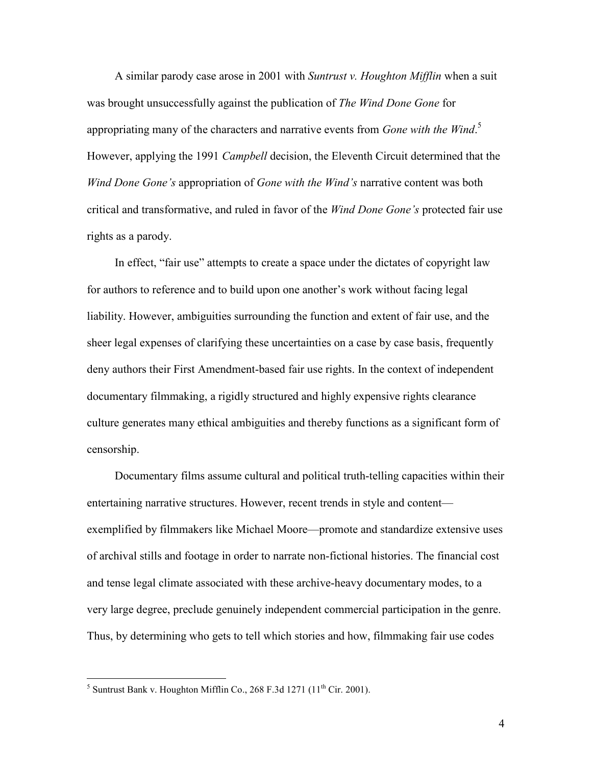A similar parody case arose in 2001 with *Suntrust v. Houghton Mifflin* when a suit was brought unsuccessfully against the publication of *The Wind Done Gone* for appropriating many of the characters and narrative events from *Gone with the Wind*. 5 However, applying the 1991 *Campbell* decision, the Eleventh Circuit determined that the *Wind Done Gone's* appropriation of *Gone with the Wind's* narrative content was both critical and transformative, and ruled in favor of the *Wind Done Gone's* protected fair use rights as a parody.

In effect, "fair use" attempts to create a space under the dictates of copyright law for authors to reference and to build upon one another's work without facing legal liability. However, ambiguities surrounding the function and extent of fair use, and the sheer legal expenses of clarifying these uncertainties on a case by case basis, frequently deny authors their First Amendment-based fair use rights. In the context of independent documentary filmmaking, a rigidly structured and highly expensive rights clearance culture generates many ethical ambiguities and thereby functions as a significant form of censorship.

Documentary films assume cultural and political truth-telling capacities within their entertaining narrative structures. However, recent trends in style and content exemplified by filmmakers like Michael Moore—promote and standardize extensive uses of archival stills and footage in order to narrate non-fictional histories. The financial cost and tense legal climate associated with these archive-heavy documentary modes, to a very large degree, preclude genuinely independent commercial participation in the genre. Thus, by determining who gets to tell which stories and how, filmmaking fair use codes

<sup>&</sup>lt;sup>5</sup> Suntrust Bank v. Houghton Mifflin Co., 268 F.3d 1271 ( $11<sup>th</sup>$  Cir. 2001).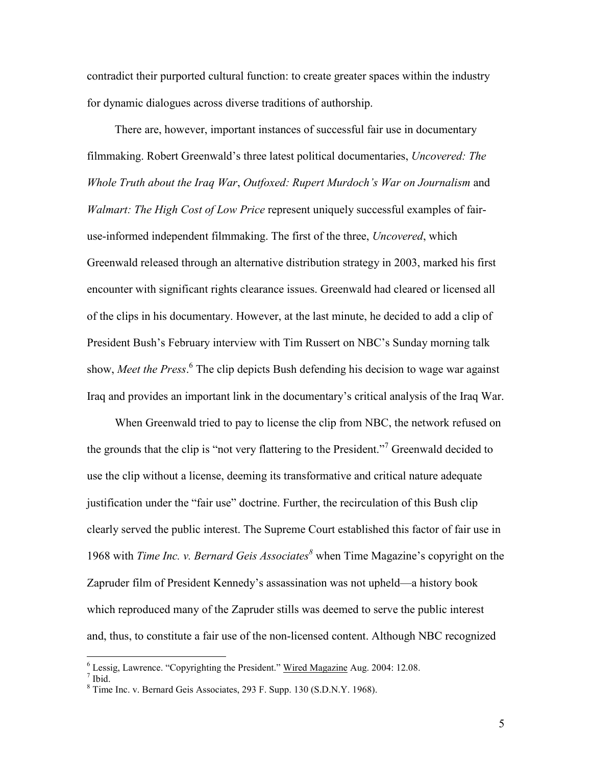contradict their purported cultural function: to create greater spaces within the industry for dynamic dialogues across diverse traditions of authorship.

There are, however, important instances of successful fair use in documentary filmmaking. Robert Greenwald's three latest political documentaries, *Uncovered: The Whole Truth about the Iraq War*, *Outfoxed: Rupert Murdoch's War on Journalism* and *Walmart: The High Cost of Low Price* represent uniquely successful examples of fairuse-informed independent filmmaking. The first of the three, *Uncovered*, which Greenwald released through an alternative distribution strategy in 2003, marked his first encounter with significant rights clearance issues. Greenwald had cleared or licensed all of the clips in his documentary. However, at the last minute, he decided to add a clip of President Bush's February interview with Tim Russert on NBC's Sunday morning talk show, *Meet the Press*. <sup>6</sup> The clip depicts Bush defending his decision to wage war against Iraq and provides an important link in the documentary's critical analysis of the Iraq War.

When Greenwald tried to pay to license the clip from NBC, the network refused on the grounds that the clip is "not very flattering to the President."<sup>7</sup> Greenwald decided to use the clip without a license, deeming its transformative and critical nature adequate justification under the "fair use" doctrine. Further, the recirculation of this Bush clip clearly served the public interest. The Supreme Court established this factor of fair use in 1968 with *Time Inc. v. Bernard Geis Associates<sup>8</sup>* when Time Magazine's copyright on the Zapruder film of President Kennedy's assassination was not upheld—a history book which reproduced many of the Zapruder stills was deemed to serve the public interest and, thus, to constitute a fair use of the non-licensed content. Although NBC recognized

 $\frac{6}{7}$  Lessig, Lawrence. "Copyrighting the President." Wired Magazine Aug. 2004: 12.08.  $\frac{7}{1}$  Ibid.

<sup>8</sup> Time Inc. v. Bernard Geis Associates, 293 F. Supp. 130 (S.D.N.Y. 1968).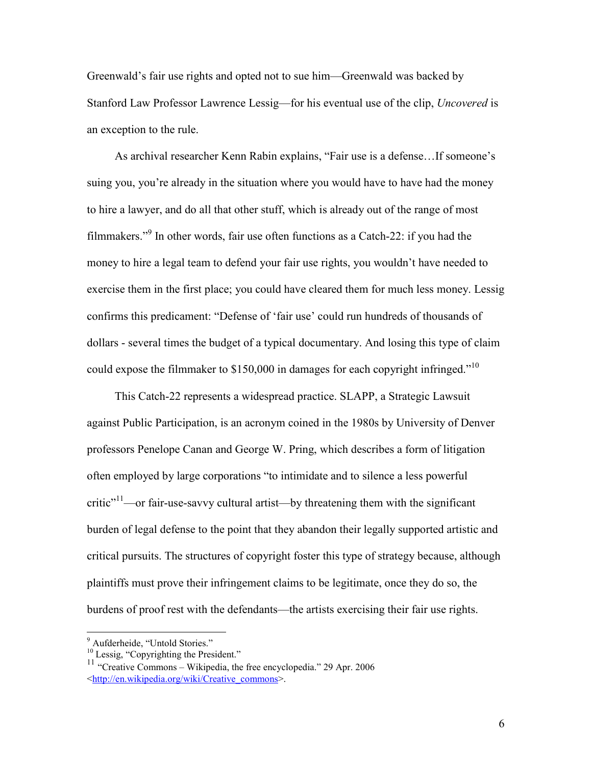Greenwald's fair use rights and opted not to sue him—Greenwald was backed by Stanford Law Professor Lawrence Lessig—for his eventual use of the clip, *Uncovered* is an exception to the rule.

As archival researcher Kenn Rabin explains, "Fair use is a defense…If someone's suing you, you're already in the situation where you would have to have had the money to hire a lawyer, and do all that other stuff, which is already out of the range of most filmmakers."<sup>9</sup> In other words, fair use often functions as a Catch-22: if you had the money to hire a legal team to defend your fair use rights, you wouldn't have needed to exercise them in the first place; you could have cleared them for much less money. Lessig confirms this predicament: "Defense of 'fair use' could run hundreds of thousands of dollars - several times the budget of a typical documentary. And losing this type of claim could expose the filmmaker to \$150,000 in damages for each copyright infringed."<sup>10</sup>

This Catch-22 represents a widespread practice. SLAPP, a Strategic Lawsuit against Public Participation, is an acronym coined in the 1980s by University of Denver professors Penelope Canan and George W. Pring, which describes a form of litigation often employed by large corporations "to intimidate and to silence a less powerful  $critic"$ <sup>11</sup>—or fair-use-savvy cultural artist—by threatening them with the significant burden of legal defense to the point that they abandon their legally supported artistic and critical pursuits. The structures of copyright foster this type of strategy because, although plaintiffs must prove their infringement claims to be legitimate, once they do so, the burdens of proof rest with the defendants—the artists exercising their fair use rights.

<sup>&</sup>lt;sup>9</sup> Aufderheide, "Untold Stories."

<sup>&</sup>lt;sup>10</sup> Lessig, "Copyrighting the President."

 $11$  "Creative Commons – Wikipedia, the free encyclopedia." 29 Apr. 2006 <http://en.wikipedia.org/wiki/Creative\_commons>.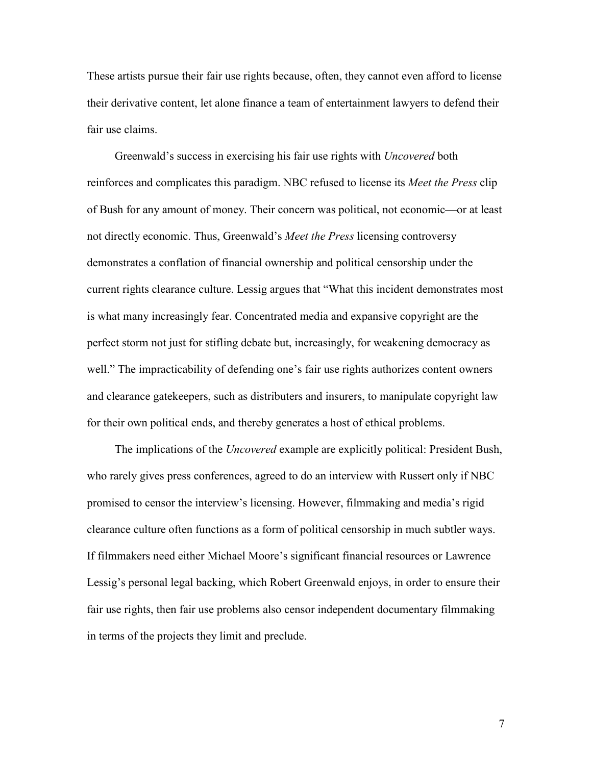These artists pursue their fair use rights because, often, they cannot even afford to license their derivative content, let alone finance a team of entertainment lawyers to defend their fair use claims.

Greenwald's success in exercising his fair use rights with *Uncovered* both reinforces and complicates this paradigm. NBC refused to license its *Meet the Press* clip of Bush for any amount of money. Their concern was political, not economic—or at least not directly economic. Thus, Greenwald's *Meet the Press* licensing controversy demonstrates a conflation of financial ownership and political censorship under the current rights clearance culture. Lessig argues that "What this incident demonstrates most is what many increasingly fear. Concentrated media and expansive copyright are the perfect storm not just for stifling debate but, increasingly, for weakening democracy as well." The impracticability of defending one's fair use rights authorizes content owners and clearance gatekeepers, such as distributers and insurers, to manipulate copyright law for their own political ends, and thereby generates a host of ethical problems.

The implications of the *Uncovered* example are explicitly political: President Bush, who rarely gives press conferences, agreed to do an interview with Russert only if NBC promised to censor the interview's licensing. However, filmmaking and media's rigid clearance culture often functions as a form of political censorship in much subtler ways. If filmmakers need either Michael Moore's significant financial resources or Lawrence Lessig's personal legal backing, which Robert Greenwald enjoys, in order to ensure their fair use rights, then fair use problems also censor independent documentary filmmaking in terms of the projects they limit and preclude.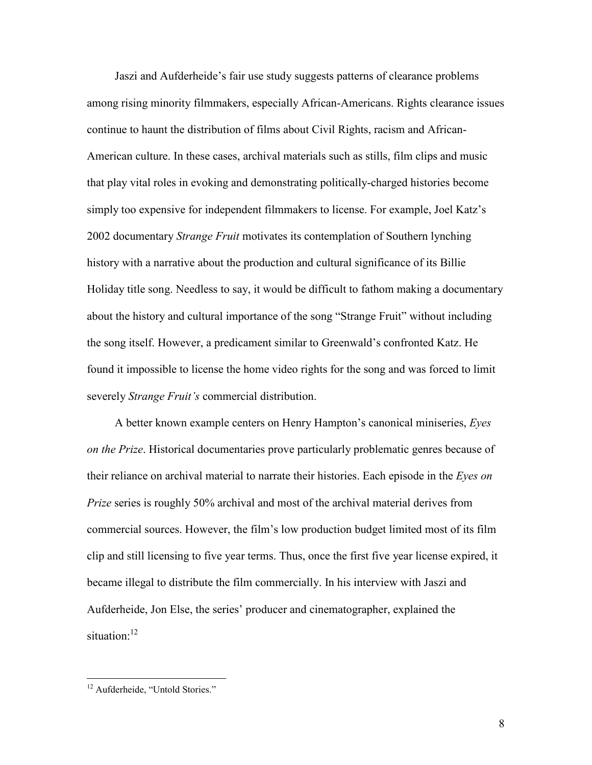Jaszi and Aufderheide's fair use study suggests patterns of clearance problems among rising minority filmmakers, especially African-Americans. Rights clearance issues continue to haunt the distribution of films about Civil Rights, racism and African-American culture. In these cases, archival materials such as stills, film clips and music that play vital roles in evoking and demonstrating politically-charged histories become simply too expensive for independent filmmakers to license. For example, Joel Katz's 2002 documentary *Strange Fruit* motivates its contemplation of Southern lynching history with a narrative about the production and cultural significance of its Billie Holiday title song. Needless to say, it would be difficult to fathom making a documentary about the history and cultural importance of the song "Strange Fruit" without including the song itself. However, a predicament similar to Greenwald's confronted Katz. He found it impossible to license the home video rights for the song and was forced to limit severely *Strange Fruit's* commercial distribution.

A better known example centers on Henry Hampton's canonical miniseries, *Eyes on the Prize*. Historical documentaries prove particularly problematic genres because of their reliance on archival material to narrate their histories. Each episode in the *Eyes on Prize* series is roughly 50% archival and most of the archival material derives from commercial sources. However, the film's low production budget limited most of its film clip and still licensing to five year terms. Thus, once the first five year license expired, it became illegal to distribute the film commercially. In his interview with Jaszi and Aufderheide, Jon Else, the series' producer and cinematographer, explained the situation:<sup>12</sup>

<sup>&</sup>lt;sup>12</sup> Aufderheide, "Untold Stories."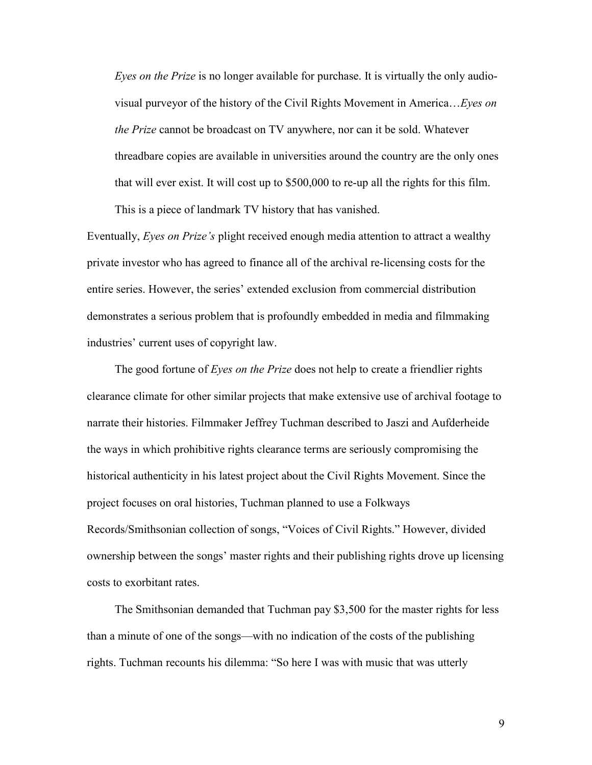*Eyes on the Prize* is no longer available for purchase. It is virtually the only audiovisual purveyor of the history of the Civil Rights Movement in America…*Eyes on the Prize* cannot be broadcast on TV anywhere, nor can it be sold. Whatever threadbare copies are available in universities around the country are the only ones that will ever exist. It will cost up to \$500,000 to re-up all the rights for this film. This is a piece of landmark TV history that has vanished.

Eventually, *Eyes on Prize's* plight received enough media attention to attract a wealthy private investor who has agreed to finance all of the archival re-licensing costs for the entire series. However, the series' extended exclusion from commercial distribution demonstrates a serious problem that is profoundly embedded in media and filmmaking industries' current uses of copyright law.

The good fortune of *Eyes on the Prize* does not help to create a friendlier rights clearance climate for other similar projects that make extensive use of archival footage to narrate their histories. Filmmaker Jeffrey Tuchman described to Jaszi and Aufderheide the ways in which prohibitive rights clearance terms are seriously compromising the historical authenticity in his latest project about the Civil Rights Movement. Since the project focuses on oral histories, Tuchman planned to use a Folkways Records/Smithsonian collection of songs, "Voices of Civil Rights." However, divided ownership between the songs' master rights and their publishing rights drove up licensing costs to exorbitant rates.

The Smithsonian demanded that Tuchman pay \$3,500 for the master rights for less than a minute of one of the songs—with no indication of the costs of the publishing rights. Tuchman recounts his dilemma: "So here I was with music that was utterly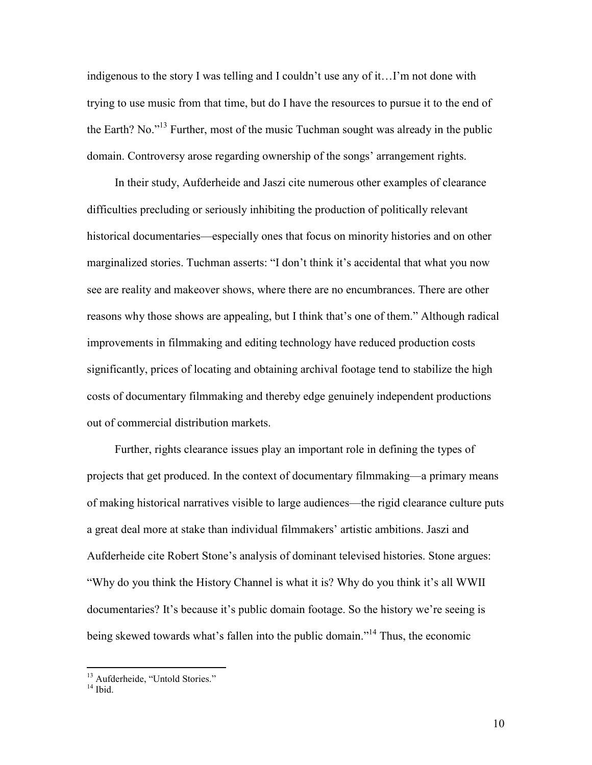indigenous to the story I was telling and I couldn't use any of it…I'm not done with trying to use music from that time, but do I have the resources to pursue it to the end of the Earth? No."13 Further, most of the music Tuchman sought was already in the public domain. Controversy arose regarding ownership of the songs' arrangement rights.

In their study, Aufderheide and Jaszi cite numerous other examples of clearance difficulties precluding or seriously inhibiting the production of politically relevant historical documentaries—especially ones that focus on minority histories and on other marginalized stories. Tuchman asserts: "I don't think it's accidental that what you now see are reality and makeover shows, where there are no encumbrances. There are other reasons why those shows are appealing, but I think that's one of them." Although radical improvements in filmmaking and editing technology have reduced production costs significantly, prices of locating and obtaining archival footage tend to stabilize the high costs of documentary filmmaking and thereby edge genuinely independent productions out of commercial distribution markets.

Further, rights clearance issues play an important role in defining the types of projects that get produced. In the context of documentary filmmaking—a primary means of making historical narratives visible to large audiences—the rigid clearance culture puts a great deal more at stake than individual filmmakers' artistic ambitions. Jaszi and Aufderheide cite Robert Stone's analysis of dominant televised histories. Stone argues: "Why do you think the History Channel is what it is? Why do you think it's all WWII documentaries? It's because it's public domain footage. So the history we're seeing is being skewed towards what's fallen into the public domain."<sup>14</sup> Thus, the economic

<sup>&</sup>lt;sup>13</sup> Aufderheide, "Untold Stories."

 $14$  Ibid.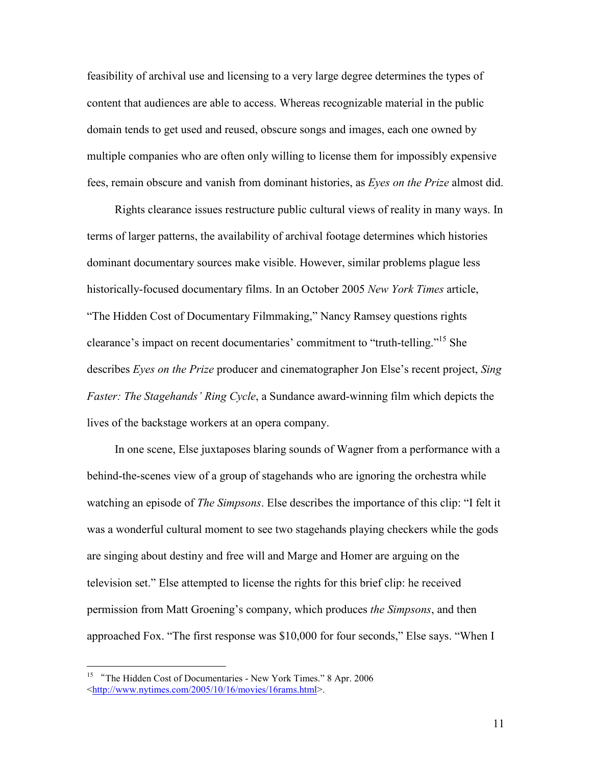feasibility of archival use and licensing to a very large degree determines the types of content that audiences are able to access. Whereas recognizable material in the public domain tends to get used and reused, obscure songs and images, each one owned by multiple companies who are often only willing to license them for impossibly expensive fees, remain obscure and vanish from dominant histories, as *Eyes on the Prize* almost did.

Rights clearance issues restructure public cultural views of reality in many ways. In terms of larger patterns, the availability of archival footage determines which histories dominant documentary sources make visible. However, similar problems plague less historically-focused documentary films. In an October 2005 *New York Times* article, "The Hidden Cost of Documentary Filmmaking," Nancy Ramsey questions rights clearance's impact on recent documentaries' commitment to "truth-telling."15 She describes *Eyes on the Prize* producer and cinematographer Jon Else's recent project, *Sing Faster: The Stagehands' Ring Cycle*, a Sundance award-winning film which depicts the lives of the backstage workers at an opera company.

In one scene, Else juxtaposes blaring sounds of Wagner from a performance with a behind-the-scenes view of a group of stagehands who are ignoring the orchestra while watching an episode of *The Simpsons*. Else describes the importance of this clip: "I felt it was a wonderful cultural moment to see two stagehands playing checkers while the gods are singing about destiny and free will and Marge and Homer are arguing on the television set." Else attempted to license the rights for this brief clip: he received permission from Matt Groening's company, which produces *the Simpsons*, and then approached Fox. "The first response was \$10,000 for four seconds," Else says. "When I

<sup>&</sup>lt;sup>15</sup> "The Hidden Cost of Documentaries - New York Times." 8 Apr. 2006 <http://www.nytimes.com/2005/10/16/movies/16rams.html>.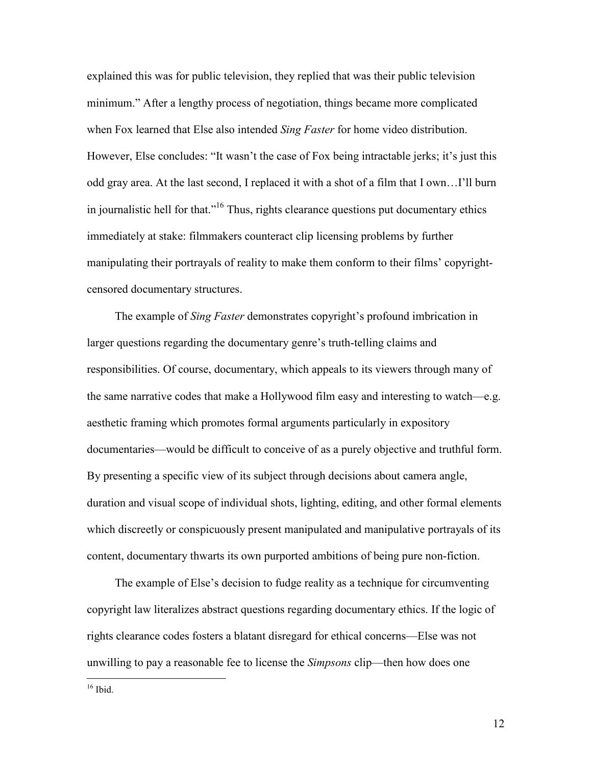explained this was for public television, they replied that was their public television minimum." After a lengthy process of negotiation, things became more complicated when Fox learned that Else also intended *Sing Faster* for home video distribution. However, Else concludes: "It wasn't the case of Fox being intractable jerks; it's just this odd gray area. At the last second, I replaced it with a shot of a film that I own…I'll burn in journalistic hell for that."16 Thus, rights clearance questions put documentary ethics immediately at stake: filmmakers counteract clip licensing problems by further manipulating their portrayals of reality to make them conform to their films' copyrightcensored documentary structures.

The example of *Sing Faster* demonstrates copyright's profound imbrication in larger questions regarding the documentary genre's truth-telling claims and responsibilities. Of course, documentary, which appeals to its viewers through many of the same narrative codes that make a Hollywood film easy and interesting to watch—e.g. aesthetic framing which promotes formal arguments particularly in expository documentaries—would be difficult to conceive of as a purely objective and truthful form. By presenting a specific view of its subject through decisions about camera angle, duration and visual scope of individual shots, lighting, editing, and other formal elements which discreetly or conspicuously present manipulated and manipulative portrayals of its content, documentary thwarts its own purported ambitions of being pure non-fiction.

The example of Else's decision to fudge reality as a technique for circumventing copyright law literalizes abstract questions regarding documentary ethics. If the logic of rights clearance codes fosters a blatant disregard for ethical concerns—Else was not unwilling to pay a reasonable fee to license the *Simpsons* clip—then how does one

 $16$  Ibid.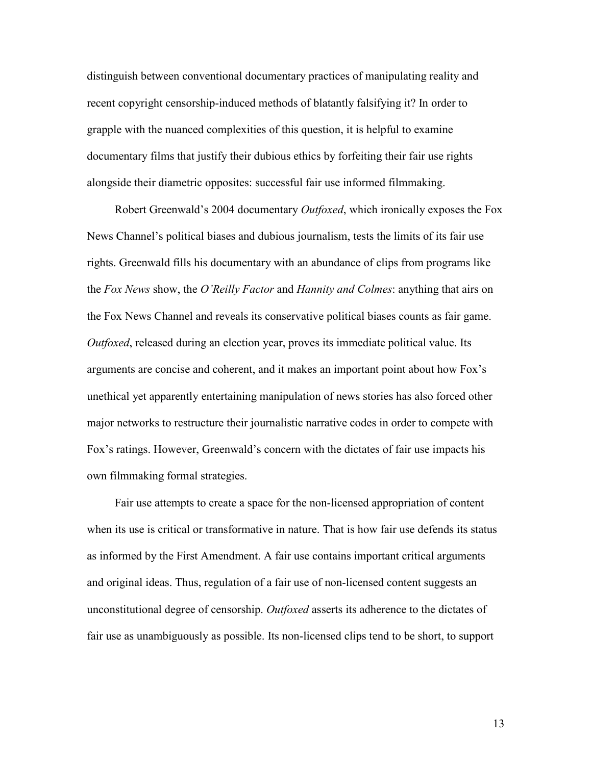distinguish between conventional documentary practices of manipulating reality and recent copyright censorship-induced methods of blatantly falsifying it? In order to grapple with the nuanced complexities of this question, it is helpful to examine documentary films that justify their dubious ethics by forfeiting their fair use rights alongside their diametric opposites: successful fair use informed filmmaking.

Robert Greenwald's 2004 documentary *Outfoxed*, which ironically exposes the Fox News Channel's political biases and dubious journalism, tests the limits of its fair use rights. Greenwald fills his documentary with an abundance of clips from programs like the *Fox News* show, the *O'Reilly Factor* and *Hannity and Colmes*: anything that airs on the Fox News Channel and reveals its conservative political biases counts as fair game. *Outfoxed*, released during an election year, proves its immediate political value. Its arguments are concise and coherent, and it makes an important point about how Fox's unethical yet apparently entertaining manipulation of news stories has also forced other major networks to restructure their journalistic narrative codes in order to compete with Fox's ratings. However, Greenwald's concern with the dictates of fair use impacts his own filmmaking formal strategies.

Fair use attempts to create a space for the non-licensed appropriation of content when its use is critical or transformative in nature. That is how fair use defends its status as informed by the First Amendment. A fair use contains important critical arguments and original ideas. Thus, regulation of a fair use of non-licensed content suggests an unconstitutional degree of censorship. *Outfoxed* asserts its adherence to the dictates of fair use as unambiguously as possible. Its non-licensed clips tend to be short, to support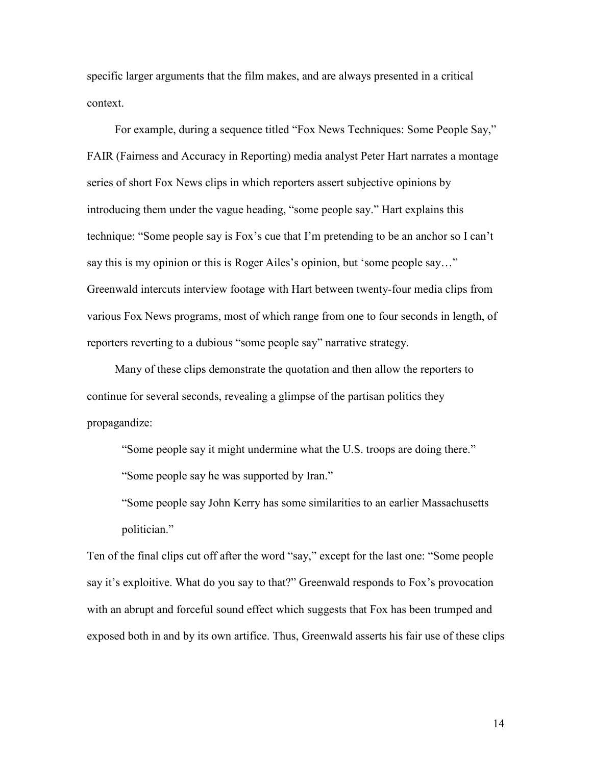specific larger arguments that the film makes, and are always presented in a critical context.

For example, during a sequence titled "Fox News Techniques: Some People Say," FAIR (Fairness and Accuracy in Reporting) media analyst Peter Hart narrates a montage series of short Fox News clips in which reporters assert subjective opinions by introducing them under the vague heading, "some people say." Hart explains this technique: "Some people say is Fox's cue that I'm pretending to be an anchor so I can't say this is my opinion or this is Roger Ailes's opinion, but 'some people say…" Greenwald intercuts interview footage with Hart between twenty-four media clips from various Fox News programs, most of which range from one to four seconds in length, of reporters reverting to a dubious "some people say" narrative strategy.

Many of these clips demonstrate the quotation and then allow the reporters to continue for several seconds, revealing a glimpse of the partisan politics they propagandize:

"Some people say it might undermine what the U.S. troops are doing there."

"Some people say he was supported by Iran."

"Some people say John Kerry has some similarities to an earlier Massachusetts politician."

Ten of the final clips cut off after the word "say," except for the last one: "Some people say it's exploitive. What do you say to that?" Greenwald responds to Fox's provocation with an abrupt and forceful sound effect which suggests that Fox has been trumped and exposed both in and by its own artifice. Thus, Greenwald asserts his fair use of these clips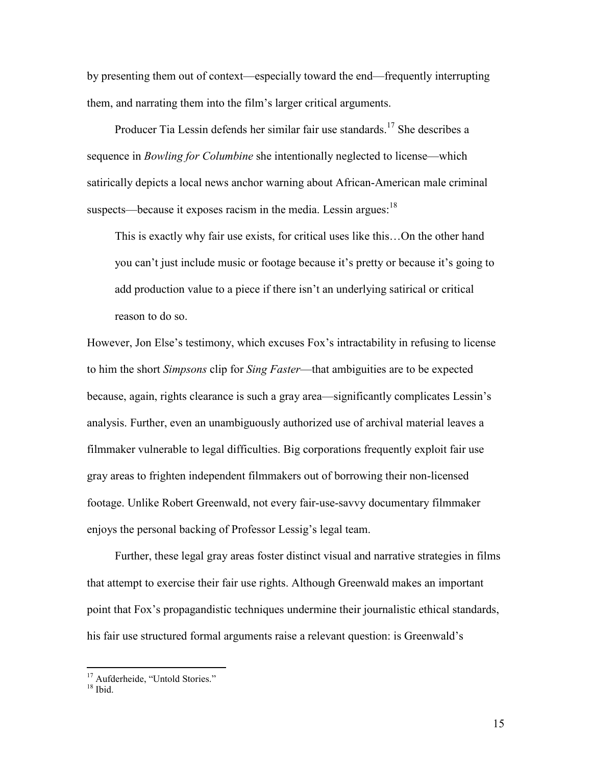by presenting them out of context—especially toward the end—frequently interrupting them, and narrating them into the film's larger critical arguments.

Producer Tia Lessin defends her similar fair use standards.<sup>17</sup> She describes a sequence in *Bowling for Columbine* she intentionally neglected to license—which satirically depicts a local news anchor warning about African-American male criminal suspects—because it exposes racism in the media. Lessin argues:  $18$ 

This is exactly why fair use exists, for critical uses like this…On the other hand you can't just include music or footage because it's pretty or because it's going to add production value to a piece if there isn't an underlying satirical or critical reason to do so.

However, Jon Else's testimony, which excuses Fox's intractability in refusing to license to him the short *Simpsons* clip for *Sing Faster*—that ambiguities are to be expected because, again, rights clearance is such a gray area—significantly complicates Lessin's analysis. Further, even an unambiguously authorized use of archival material leaves a filmmaker vulnerable to legal difficulties. Big corporations frequently exploit fair use gray areas to frighten independent filmmakers out of borrowing their non-licensed footage. Unlike Robert Greenwald, not every fair-use-savvy documentary filmmaker enjoys the personal backing of Professor Lessig's legal team.

Further, these legal gray areas foster distinct visual and narrative strategies in films that attempt to exercise their fair use rights. Although Greenwald makes an important point that Fox's propagandistic techniques undermine their journalistic ethical standards, his fair use structured formal arguments raise a relevant question: is Greenwald's

<sup>&</sup>lt;sup>17</sup> Aufderheide, "Untold Stories."

 $18$  Ibid.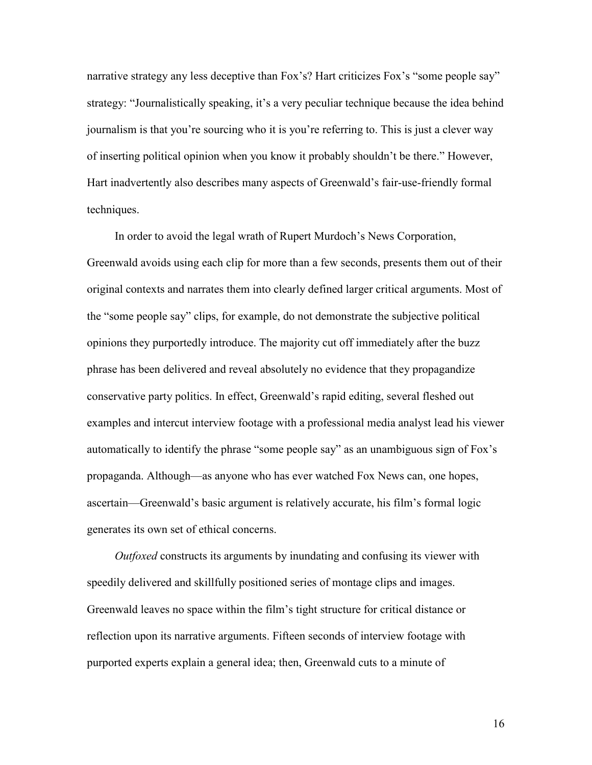narrative strategy any less deceptive than Fox's? Hart criticizes Fox's "some people say" strategy: "Journalistically speaking, it's a very peculiar technique because the idea behind journalism is that you're sourcing who it is you're referring to. This is just a clever way of inserting political opinion when you know it probably shouldn't be there." However, Hart inadvertently also describes many aspects of Greenwald's fair-use-friendly formal techniques.

In order to avoid the legal wrath of Rupert Murdoch's News Corporation, Greenwald avoids using each clip for more than a few seconds, presents them out of their original contexts and narrates them into clearly defined larger critical arguments. Most of the "some people say" clips, for example, do not demonstrate the subjective political opinions they purportedly introduce. The majority cut off immediately after the buzz phrase has been delivered and reveal absolutely no evidence that they propagandize conservative party politics. In effect, Greenwald's rapid editing, several fleshed out examples and intercut interview footage with a professional media analyst lead his viewer automatically to identify the phrase "some people say" as an unambiguous sign of Fox's propaganda. Although—as anyone who has ever watched Fox News can, one hopes, ascertain—Greenwald's basic argument is relatively accurate, his film's formal logic generates its own set of ethical concerns.

*Outfoxed* constructs its arguments by inundating and confusing its viewer with speedily delivered and skillfully positioned series of montage clips and images. Greenwald leaves no space within the film's tight structure for critical distance or reflection upon its narrative arguments. Fifteen seconds of interview footage with purported experts explain a general idea; then, Greenwald cuts to a minute of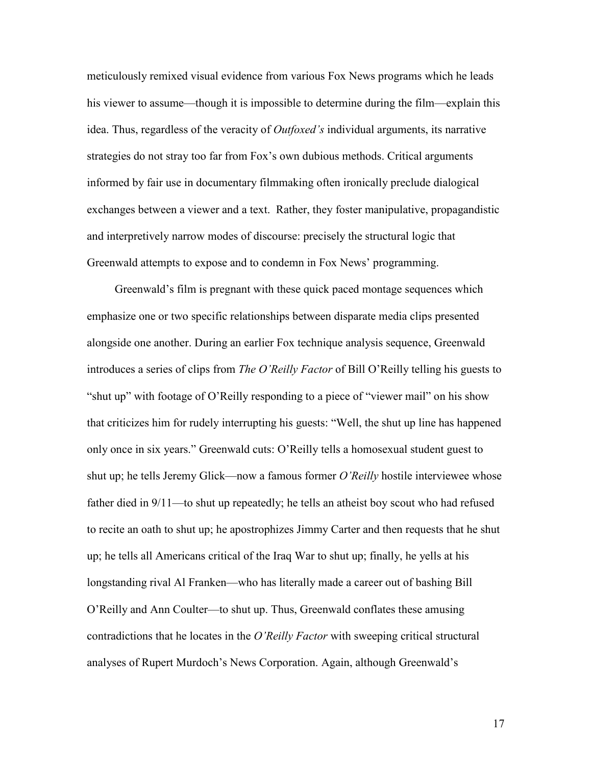meticulously remixed visual evidence from various Fox News programs which he leads his viewer to assume—though it is impossible to determine during the film—explain this idea. Thus, regardless of the veracity of *Outfoxed's* individual arguments, its narrative strategies do not stray too far from Fox's own dubious methods. Critical arguments informed by fair use in documentary filmmaking often ironically preclude dialogical exchanges between a viewer and a text. Rather, they foster manipulative, propagandistic and interpretively narrow modes of discourse: precisely the structural logic that Greenwald attempts to expose and to condemn in Fox News' programming.

Greenwald's film is pregnant with these quick paced montage sequences which emphasize one or two specific relationships between disparate media clips presented alongside one another. During an earlier Fox technique analysis sequence, Greenwald introduces a series of clips from *The O'Reilly Factor* of Bill O'Reilly telling his guests to "shut up" with footage of O'Reilly responding to a piece of "viewer mail" on his show that criticizes him for rudely interrupting his guests: "Well, the shut up line has happened only once in six years." Greenwald cuts: O'Reilly tells a homosexual student guest to shut up; he tells Jeremy Glick—now a famous former *O'Reilly* hostile interviewee whose father died in 9/11—to shut up repeatedly; he tells an atheist boy scout who had refused to recite an oath to shut up; he apostrophizes Jimmy Carter and then requests that he shut up; he tells all Americans critical of the Iraq War to shut up; finally, he yells at his longstanding rival Al Franken—who has literally made a career out of bashing Bill O'Reilly and Ann Coulter—to shut up. Thus, Greenwald conflates these amusing contradictions that he locates in the *O'Reilly Factor* with sweeping critical structural analyses of Rupert Murdoch's News Corporation. Again, although Greenwald's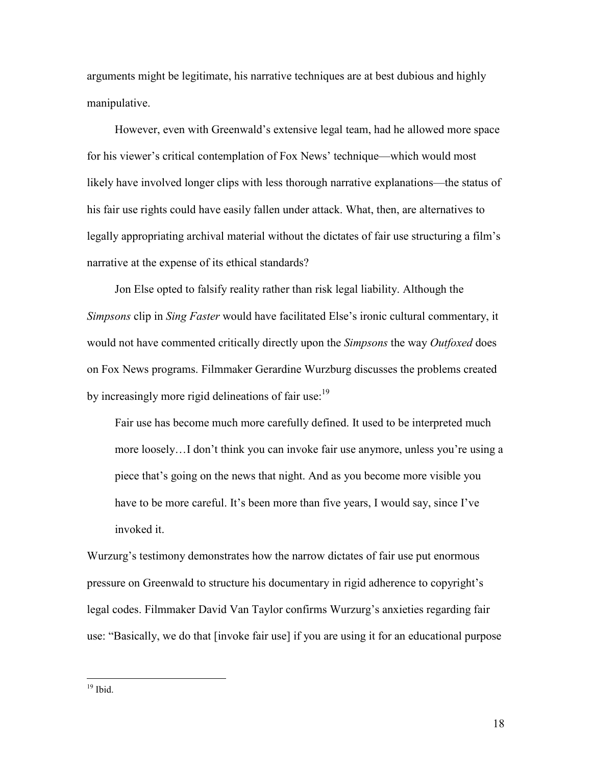arguments might be legitimate, his narrative techniques are at best dubious and highly manipulative.

However, even with Greenwald's extensive legal team, had he allowed more space for his viewer's critical contemplation of Fox News' technique—which would most likely have involved longer clips with less thorough narrative explanations—the status of his fair use rights could have easily fallen under attack. What, then, are alternatives to legally appropriating archival material without the dictates of fair use structuring a film's narrative at the expense of its ethical standards?

Jon Else opted to falsify reality rather than risk legal liability. Although the *Simpsons* clip in *Sing Faster* would have facilitated Else's ironic cultural commentary, it would not have commented critically directly upon the *Simpsons* the way *Outfoxed* does on Fox News programs. Filmmaker Gerardine Wurzburg discusses the problems created by increasingly more rigid delineations of fair use:<sup>19</sup>

Fair use has become much more carefully defined. It used to be interpreted much more loosely…I don't think you can invoke fair use anymore, unless you're using a piece that's going on the news that night. And as you become more visible you have to be more careful. It's been more than five years, I would say, since I've invoked it.

Wurzurg's testimony demonstrates how the narrow dictates of fair use put enormous pressure on Greenwald to structure his documentary in rigid adherence to copyright's legal codes. Filmmaker David Van Taylor confirms Wurzurg's anxieties regarding fair use: "Basically, we do that [invoke fair use] if you are using it for an educational purpose

 $19$  Ibid.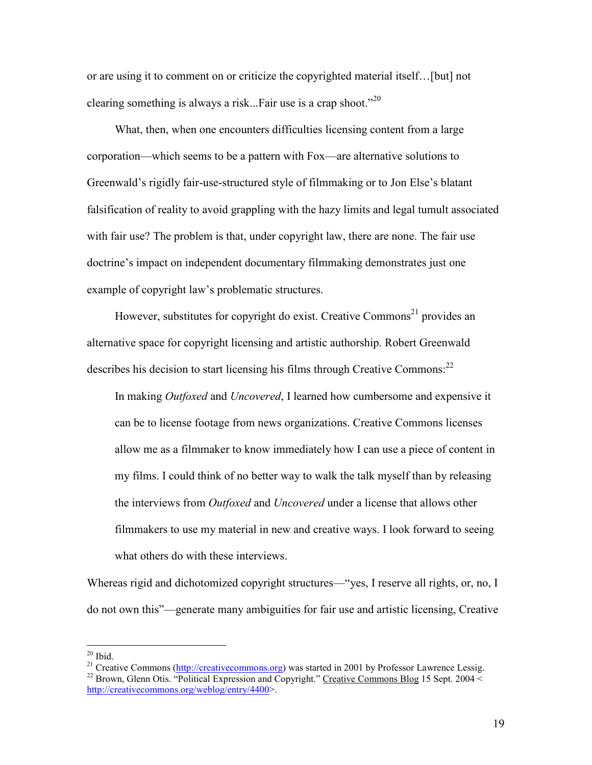or are using it to comment on or criticize the copyrighted material itself…[but] not clearing something is always a risk...Fair use is a crap shoot. $120$ 

What, then, when one encounters difficulties licensing content from a large corporation—which seems to be a pattern with Fox—are alternative solutions to Greenwald's rigidly fair-use-structured style of filmmaking or to Jon Else's blatant falsification of reality to avoid grappling with the hazy limits and legal tumult associated with fair use? The problem is that, under copyright law, there are none. The fair use doctrine's impact on independent documentary filmmaking demonstrates just one example of copyright law's problematic structures.

However, substitutes for copyright do exist. Creative Commons<sup>21</sup> provides an alternative space for copyright licensing and artistic authorship. Robert Greenwald describes his decision to start licensing his films through Creative Commons:<sup>22</sup>

In making *Outfoxed* and *Uncovered*, I learned how cumbersome and expensive it can be to license footage from news organizations. Creative Commons licenses allow me as a filmmaker to know immediately how I can use a piece of content in my films. I could think of no better way to walk the talk myself than by releasing the interviews from *Outfoxed* and *Uncovered* under a license that allows other filmmakers to use my material in new and creative ways. I look forward to seeing what others do with these interviews.

Whereas rigid and dichotomized copyright structures—"yes, I reserve all rights, or, no, I do not own this"—generate many ambiguities for fair use and artistic licensing, Creative

<sup>&</sup>lt;sup>20</sup> Ibid.<br><sup>21</sup> Creative Commons ( $\frac{http://creativecommons.org/licenses/by/1/10.000/10.0000/10.0000/10.0000/10.0000/10.0000/10.0000/10.0000/10.0000/10.0000/10.0000/10.0000/10.0000/10.0000/10.00000/10.00000/10.00000/10.00000/10.00000/10.00000/10.00000/$ <sup>22</sup> Brown. Glenn Otis. "Political Expression and Copyright." Creative Commons Blog 15 Sept. 2004 < http://creativecommons.org/weblog/entry/4400>.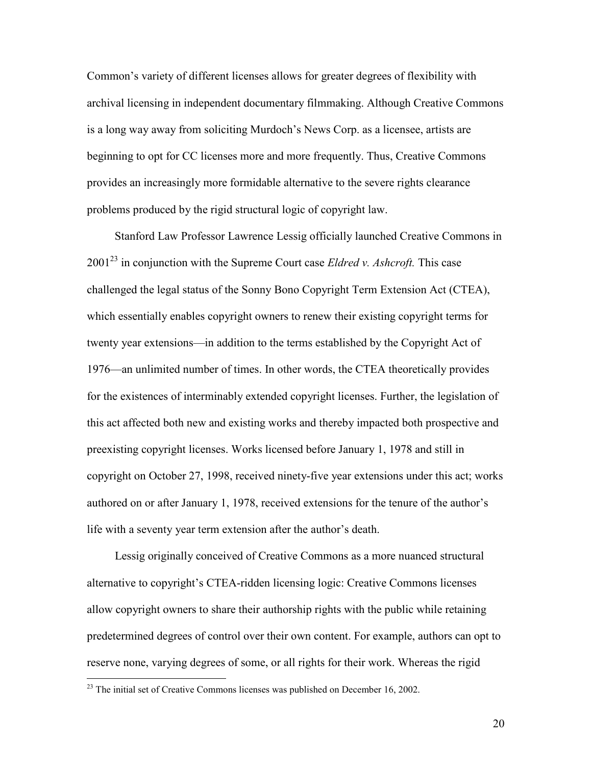Common's variety of different licenses allows for greater degrees of flexibility with archival licensing in independent documentary filmmaking. Although Creative Commons is a long way away from soliciting Murdoch's News Corp. as a licensee, artists are beginning to opt for CC licenses more and more frequently. Thus, Creative Commons provides an increasingly more formidable alternative to the severe rights clearance problems produced by the rigid structural logic of copyright law.

Stanford Law Professor Lawrence Lessig officially launched Creative Commons in 200123 in conjunction with the Supreme Court case *Eldred v. Ashcroft.* This case challenged the legal status of the Sonny Bono Copyright Term Extension Act (CTEA), which essentially enables copyright owners to renew their existing copyright terms for twenty year extensions—in addition to the terms established by the Copyright Act of 1976—an unlimited number of times. In other words, the CTEA theoretically provides for the existences of interminably extended copyright licenses. Further, the legislation of this act affected both new and existing works and thereby impacted both prospective and preexisting copyright licenses. Works licensed before January 1, 1978 and still in copyright on October 27, 1998, received ninety-five year extensions under this act; works authored on or after January 1, 1978, received extensions for the tenure of the author's life with a seventy year term extension after the author's death.

Lessig originally conceived of Creative Commons as a more nuanced structural alternative to copyright's CTEA-ridden licensing logic: Creative Commons licenses allow copyright owners to share their authorship rights with the public while retaining predetermined degrees of control over their own content. For example, authors can opt to reserve none, varying degrees of some, or all rights for their work. Whereas the rigid

 $^{23}$  The initial set of Creative Commons licenses was published on December 16, 2002.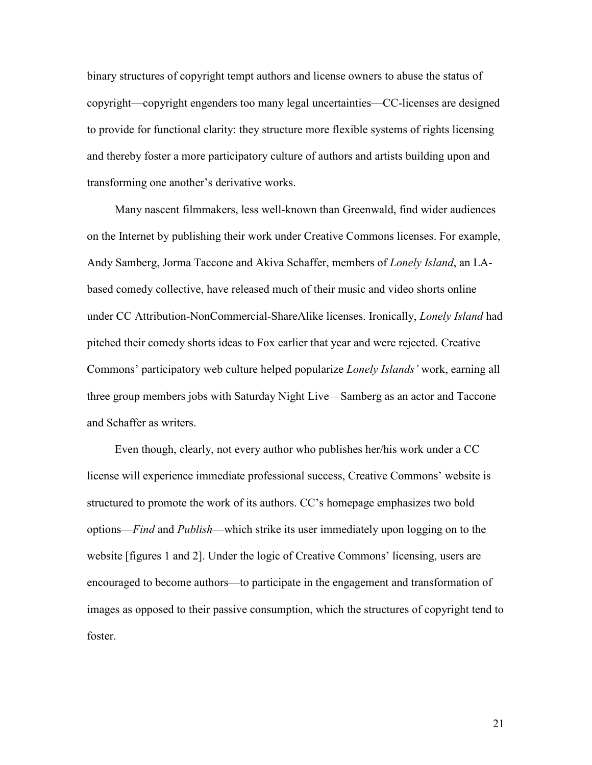binary structures of copyright tempt authors and license owners to abuse the status of copyright—copyright engenders too many legal uncertainties—CC-licenses are designed to provide for functional clarity: they structure more flexible systems of rights licensing and thereby foster a more participatory culture of authors and artists building upon and transforming one another's derivative works.

Many nascent filmmakers, less well-known than Greenwald, find wider audiences on the Internet by publishing their work under Creative Commons licenses. For example, Andy Samberg, Jorma Taccone and Akiva Schaffer, members of *Lonely Island*, an LAbased comedy collective, have released much of their music and video shorts online under CC Attribution-NonCommercial-ShareAlike licenses. Ironically, *Lonely Island* had pitched their comedy shorts ideas to Fox earlier that year and were rejected. Creative Commons' participatory web culture helped popularize *Lonely Islands'* work, earning all three group members jobs with Saturday Night Live—Samberg as an actor and Taccone and Schaffer as writers.

Even though, clearly, not every author who publishes her/his work under a CC license will experience immediate professional success, Creative Commons' website is structured to promote the work of its authors. CC's homepage emphasizes two bold options—*Find* and *Publish*—which strike its user immediately upon logging on to the website [figures 1 and 2]. Under the logic of Creative Commons' licensing, users are encouraged to become authors—to participate in the engagement and transformation of images as opposed to their passive consumption, which the structures of copyright tend to foster.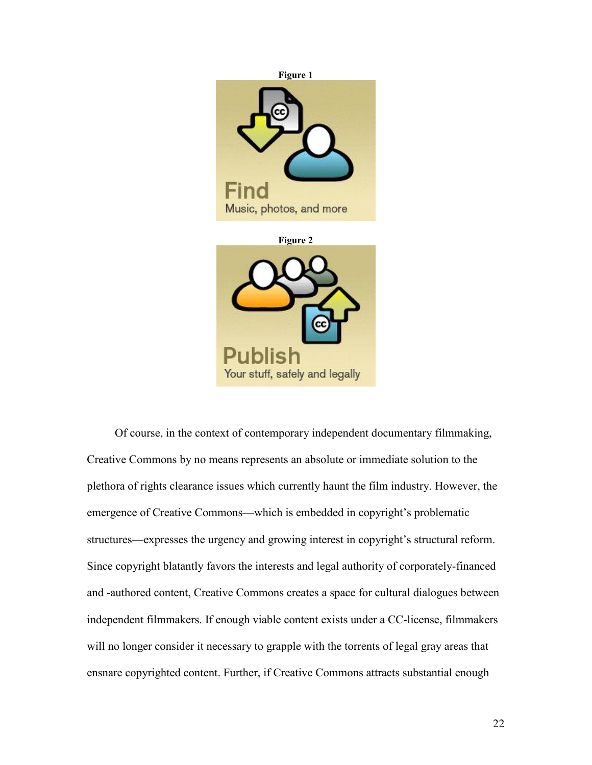

Of course, in the context of contemporary independent documentary filmmaking, Creative Commons by no means represents an absolute or immediate solution to the plethora of rights clearance issues which currently haunt the film industry. However, the emergence of Creative Commons—which is embedded in copyright's problematic structures—expresses the urgency and growing interest in copyright's structural reform. Since copyright blatantly favors the interests and legal authority of corporately-financed and -authored content, Creative Commons creates a space for cultural dialogues between independent filmmakers. If enough viable content exists under a CC-license, filmmakers will no longer consider it necessary to grapple with the torrents of legal gray areas that ensnare copyrighted content. Further, if Creative Commons attracts substantial enough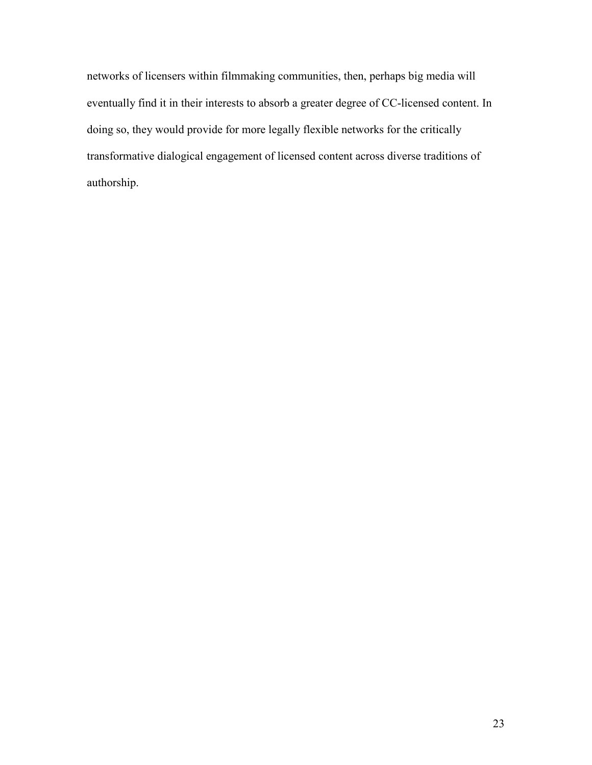networks of licensers within filmmaking communities, then, perhaps big media will eventually find it in their interests to absorb a greater degree of CC-licensed content. In doing so, they would provide for more legally flexible networks for the critically transformative dialogical engagement of licensed content across diverse traditions of authorship.